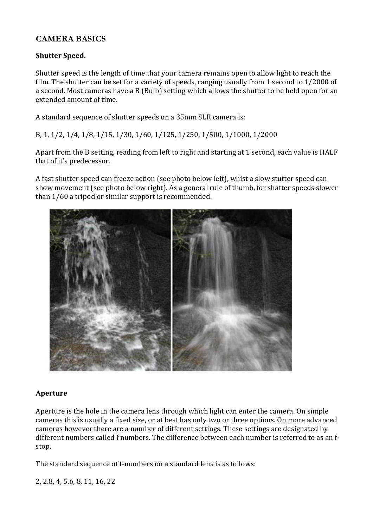## **CAMERA BASICS**

### **Shutter Speed.**

Shutter speed is the length of time that your camera remains open to allow light to reach the film. The shutter can be set for a variety of speeds, ranging usually from 1 second to  $1/2000$  of a second. Most cameras have a B (Bulb) setting which allows the shutter to be held open for an extended amount of time.

A standard sequence of shutter speeds on a 35mm SLR camera is:

B, 1, 1/2, 1/4, 1/8, 1/15, 1/30, 1/60, 1/125, 1/250, 1/500, 1/1000, 1/2000

Apart from the B setting, reading from left to right and starting at 1 second, each value is HALF that of it's predecessor.

A fast shutter speed can freeze action (see photo below left), whist a slow stutter speed can show movement (see photo below right). As a general rule of thumb, for shatter speeds slower than 1/60 a tripod or similar support is recommended.



#### **Aperture**

Aperture is the hole in the camera lens through which light can enter the camera. On simple cameras this is usually a fixed size, or at best has only two or three options. On more advanced cameras however there are a number of different settings. These settings are designated by different numbers called f numbers. The difference between each number is referred to as an fstop.

The standard sequence of f-numbers on a standard lens is as follows:

2, 2.8, 4, 5.6, 8, 11, 16, 22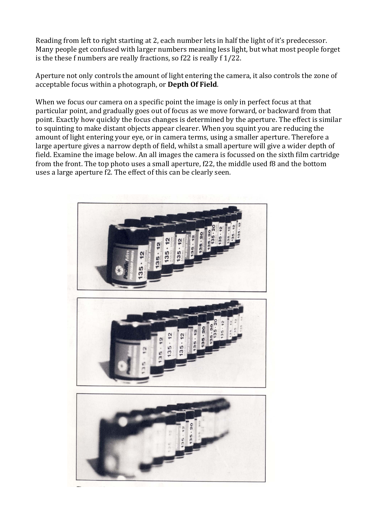Reading from left to right starting at 2, each number lets in half the light of it's predecessor. Many people get confused with larger numbers meaning less light, but what most people forget is the these f numbers are really fractions, so  $f22$  is really  $f1/22$ .

Aperture not only controls the amount of light entering the camera, it also controls the zone of acceptable focus within a photograph, or **Depth Of Field**.

When we focus our camera on a specific point the image is only in perfect focus at that particular point, and gradually goes out of focus as we move forward, or backward from that point. Exactly how quickly the focus changes is determined by the aperture. The effect is similar to squinting to make distant objects appear clearer. When you squint you are reducing the amount of light entering your eye, or in camera terms, using a smaller aperture. Therefore a large aperture gives a narrow depth of field, whilst a small aperture will give a wider depth of field. Examine the image below. An all images the camera is focussed on the sixth film cartridge from the front. The top photo uses a small aperture, f22, the middle used f8 and the bottom uses a large aperture f2. The effect of this can be clearly seen.

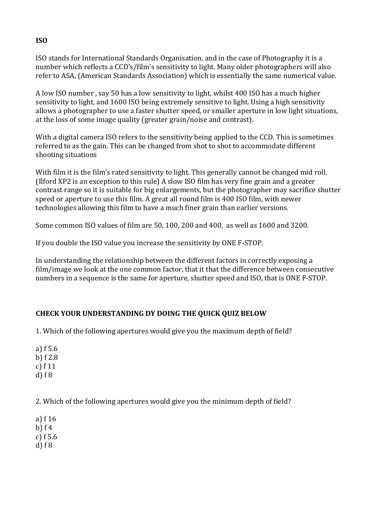ISO stands for International Standards Organisation, and in the case of Photography it is a number which reflects a CCD's/film's sensitivity to light. Many older photographers will also refer to ASA, (American Standards Association) which is essentially the same numerical value.

A low ISO number, say 50 has a low sensitivity to light, whilst 400 ISO has a much higher sensitivity to light, and 1600 ISO being extremely sensitive to light. Using a high sensitivity allows a photographer to use a faster shutter speed, or smaller aperture in low light situations, at the loss of some image quality (greater grain/noise and contrast).

With a digital camera ISO refers to the sensitivity being applied to the CCD. This is sometimes referred to as the gain. This can be changed from shot to shot to accommodate different shooting situations

With film it is the film's rated sensitivity to light. This generally cannot be changed mid roll. (Ilford XP2 is an exception to this rule) A slow ISO film has very fine grain and a greater contrast range so it is suitable for big enlargements, but the photographer may sacrifice shutter speed or aperture to use this film. A great all round film is 400 ISO film, with newer technologies allowing this film to have a much finer grain than earlier versions.

Some common ISO values of film are 50, 100, 200 and  $400$ , as well as  $1600$  and  $3200$ .

If you double the ISO value you increase the sensitivity by ONE F-STOP.

In understanding the relationship between the different factors in correctly exposing a film/image we look at the one common factor, that it that the difference between consecutive numbers in a sequence is the same for aperture, shutter speed and ISO, that is ONE F-STOP.

# **CHECK YOUR UNDERSTANDING DY DOING THE QUICK QUIZ BELOW**

1. Which of the following apertures would give you the maximum depth of field?

a)  $f$  5.6 b)  $f$  2.8 c)  $f11$  $d)$  f  $8$ 

2. Which of the following apertures would give you the minimum depth of field?

a)  $f16$ b)  $f$  4 c)  $f$  5.6  $d)$  f  $8$ 

### **ISO**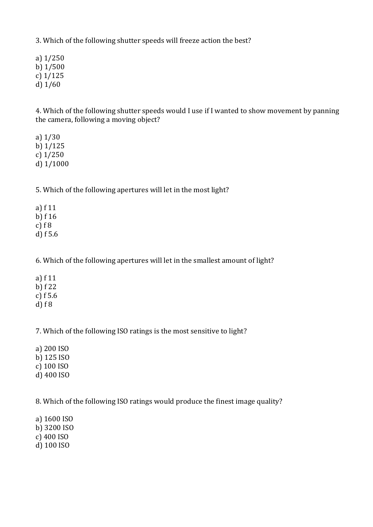3. Which of the following shutter speeds will freeze action the best?

a) 1/250 b) 1/500 c) 1/125 d)  $1/60$ 

4. Which of the following shutter speeds would I use if I wanted to show movement by panning the camera, following a moving object?

a) 1/30 b) 1/125 c) 1/250 d) 1/1000

5. Which of the following apertures will let in the most light?

a)  $f11$ b)  $f16$ c)  $f \, 8$ d)  $f$  5.6

6. Which of the following apertures will let in the smallest amount of light?

a)  $f11$ b) f 22 c)  $f\,5.6$  $d)$  f 8

7. Which of the following ISO ratings is the most sensitive to light?

a) 200 ISO b) 125 ISO c) 100 ISO d) 400 ISO

8. Which of the following ISO ratings would produce the finest image quality?

a) 1600 ISO b) 3200 ISO c) 400 ISO d) 100 ISO